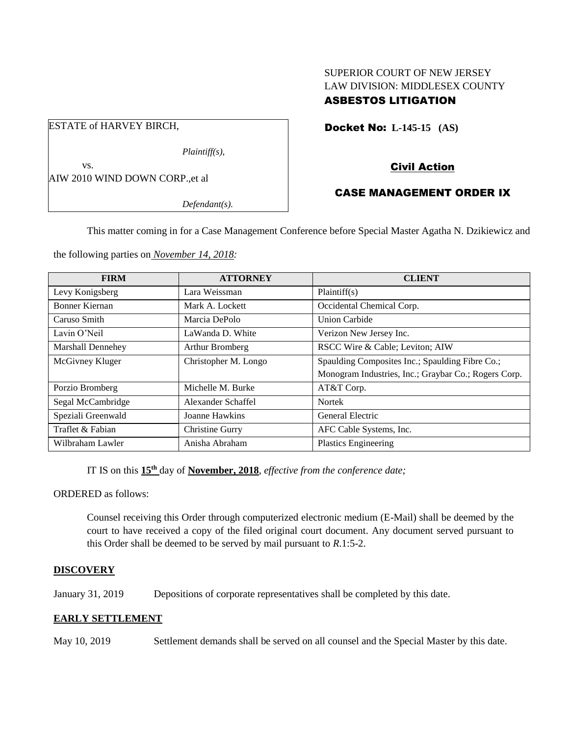# SUPERIOR COURT OF NEW JERSEY LAW DIVISION: MIDDLESEX COUNTY ASBESTOS LITIGATION

Docket No: **L-145-15 (AS)** 

Civil Action

# CASE MANAGEMENT ORDER IX

*Defendant(s).*

*Plaintiff(s),*

This matter coming in for a Case Management Conference before Special Master Agatha N. Dzikiewicz and

the following parties on *November 14, 2018:*

| <b>FIRM</b>           | <b>ATTORNEY</b>      | <b>CLIENT</b>                                        |
|-----------------------|----------------------|------------------------------------------------------|
| Levy Konigsberg       | Lara Weissman        | Plaintiff(s)                                         |
| <b>Bonner Kiernan</b> | Mark A. Lockett      | Occidental Chemical Corp.                            |
| Caruso Smith          | Marcia DePolo        | <b>Union Carbide</b>                                 |
| Lavin O'Neil          | LaWanda D. White     | Verizon New Jersey Inc.                              |
| Marshall Dennehey     | Arthur Bromberg      | RSCC Wire & Cable; Leviton; AIW                      |
| McGivney Kluger       | Christopher M. Longo | Spaulding Composites Inc.; Spaulding Fibre Co.;      |
|                       |                      | Monogram Industries, Inc.; Graybar Co.; Rogers Corp. |
| Porzio Bromberg       | Michelle M. Burke    | AT&T Corp.                                           |
| Segal McCambridge     | Alexander Schaffel   | <b>Nortek</b>                                        |
| Speziali Greenwald    | Joanne Hawkins       | General Electric                                     |
| Traflet & Fabian      | Christine Gurry      | AFC Cable Systems, Inc.                              |
| Wilbraham Lawler      | Anisha Abraham       | <b>Plastics Engineering</b>                          |

IT IS on this  $15<sup>th</sup>$  day of **November, 2018**, *effective from the conference date*;

ORDERED as follows:

Counsel receiving this Order through computerized electronic medium (E-Mail) shall be deemed by the court to have received a copy of the filed original court document. Any document served pursuant to this Order shall be deemed to be served by mail pursuant to *R*.1:5-2.

## **DISCOVERY**

January 31, 2019 Depositions of corporate representatives shall be completed by this date.

## **EARLY SETTLEMENT**

May 10, 2019 Settlement demands shall be served on all counsel and the Special Master by this date.

ESTATE of HARVEY BIRCH,

AIW 2010 WIND DOWN CORP.,et al

vs.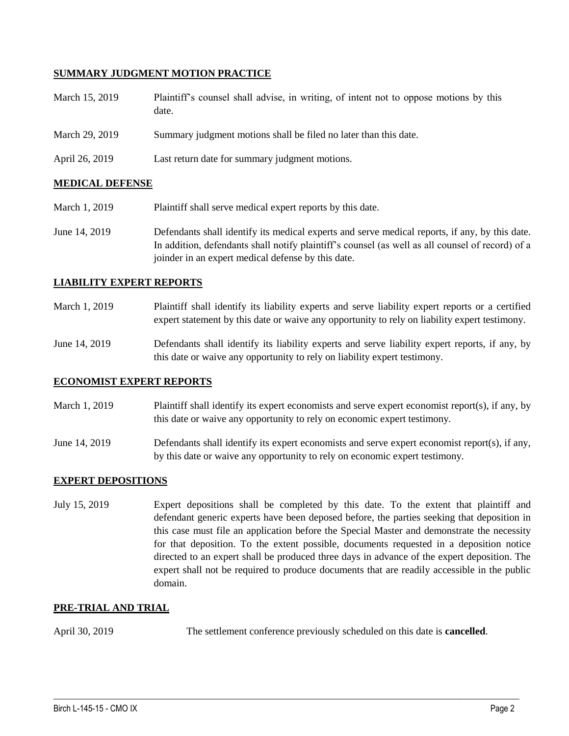### **SUMMARY JUDGMENT MOTION PRACTICE**

| March 15, 2019 | Plaintiff's counsel shall advise, in writing, of intent not to oppose motions by this<br>date. |
|----------------|------------------------------------------------------------------------------------------------|
| March 29, 2019 | Summary judgment motions shall be filed no later than this date.                               |
| April 26, 2019 | Last return date for summary judgment motions.                                                 |

### **MEDICAL DEFENSE**

- March 1, 2019 Plaintiff shall serve medical expert reports by this date.
- June 14, 2019 Defendants shall identify its medical experts and serve medical reports, if any, by this date. In addition, defendants shall notify plaintiff's counsel (as well as all counsel of record) of a joinder in an expert medical defense by this date.

#### **LIABILITY EXPERT REPORTS**

- March 1, 2019 Plaintiff shall identify its liability experts and serve liability expert reports or a certified expert statement by this date or waive any opportunity to rely on liability expert testimony.
- June 14, 2019 Defendants shall identify its liability experts and serve liability expert reports, if any, by this date or waive any opportunity to rely on liability expert testimony.

## **ECONOMIST EXPERT REPORTS**

March 1, 2019 Plaintiff shall identify its expert economists and serve expert economist report(s), if any, by this date or waive any opportunity to rely on economic expert testimony.

June 14, 2019 Defendants shall identify its expert economists and serve expert economist report(s), if any, by this date or waive any opportunity to rely on economic expert testimony.

## **EXPERT DEPOSITIONS**

July 15, 2019 Expert depositions shall be completed by this date. To the extent that plaintiff and defendant generic experts have been deposed before, the parties seeking that deposition in this case must file an application before the Special Master and demonstrate the necessity for that deposition. To the extent possible, documents requested in a deposition notice directed to an expert shall be produced three days in advance of the expert deposition. The expert shall not be required to produce documents that are readily accessible in the public domain.

#### **PRE-TRIAL AND TRIAL**

April 30, 2019 The settlement conference previously scheduled on this date is **cancelled**.

 $\_$  ,  $\_$  ,  $\_$  ,  $\_$  ,  $\_$  ,  $\_$  ,  $\_$  ,  $\_$  ,  $\_$  ,  $\_$  ,  $\_$  ,  $\_$  ,  $\_$  ,  $\_$  ,  $\_$  ,  $\_$  ,  $\_$  ,  $\_$  ,  $\_$  ,  $\_$  ,  $\_$  ,  $\_$  ,  $\_$  ,  $\_$  ,  $\_$  ,  $\_$  ,  $\_$  ,  $\_$  ,  $\_$  ,  $\_$  ,  $\_$  ,  $\_$  ,  $\_$  ,  $\_$  ,  $\_$  ,  $\_$  ,  $\_$  ,